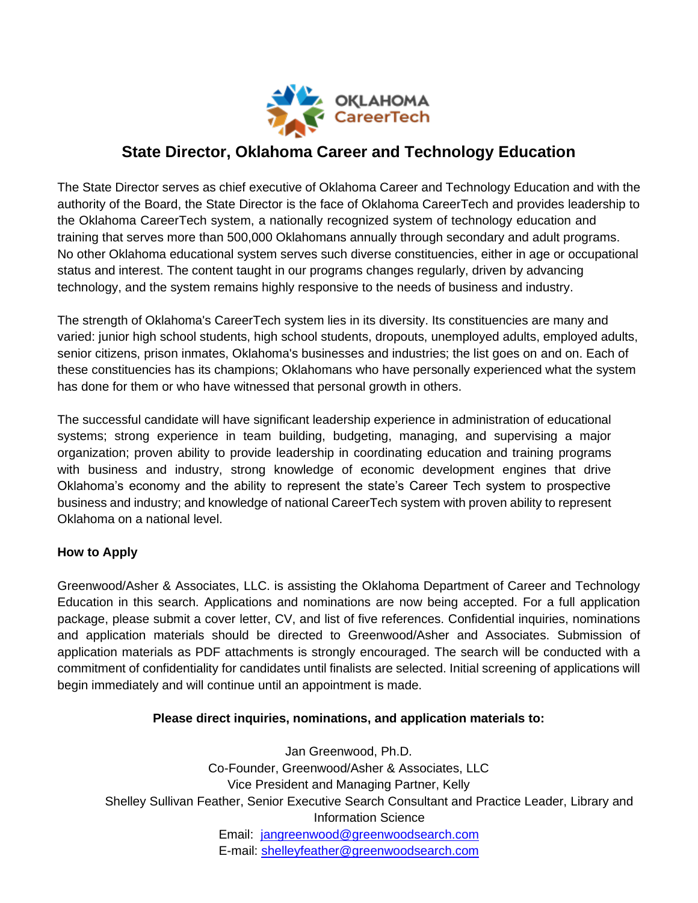

# **State Director, Oklahoma Career and Technology Education**

The State Director serves as chief executive of Oklahoma Career and Technology Education and with the authority of the Board, the State Director is the face of Oklahoma CareerTech and provides leadership to the Oklahoma CareerTech system, a nationally recognized system of technology education and training that serves more than 500,000 Oklahomans annually through secondary and adult programs. No other Oklahoma educational system serves such diverse constituencies, either in age or occupational status and interest. The content taught in our programs changes regularly, driven by advancing technology, and the system remains highly responsive to the needs of business and industry.

The strength of Oklahoma's CareerTech system lies in its diversity. Its constituencies are many and varied: junior high school students, high school students, dropouts, unemployed adults, employed adults, senior citizens, prison inmates, Oklahoma's businesses and industries; the list goes on and on. Each of these constituencies has its champions; Oklahomans who have personally experienced what the system has done for them or who have witnessed that personal growth in others.

The successful candidate will have significant leadership experience in administration of educational systems; strong experience in team building, budgeting, managing, and supervising a major organization; proven ability to provide leadership in coordinating education and training programs with business and industry, strong knowledge of economic development engines that drive Oklahoma's economy and the ability to represent the state's Career Tech system to prospective business and industry; and knowledge of national CareerTech system with proven ability to represent Oklahoma on a national level.

## **How to Apply**

Greenwood/Asher & Associates, LLC. is assisting the Oklahoma Department of Career and Technology Education in this search. Applications and nominations are now being accepted. For a full application package, please submit a cover letter, CV, and list of five references. Confidential inquiries, nominations and application materials should be directed to Greenwood/Asher and Associates. Submission of application materials as PDF attachments is strongly encouraged. The search will be conducted with a commitment of confidentiality for candidates until finalists are selected. Initial screening of applications will begin immediately and will continue until an appointment is made.

## **Please direct inquiries, nominations, and application materials to:**

Jan Greenwood, Ph.D. Co-Founder, Greenwood/Asher & Associates, LLC Vice President and Managing Partner, Kelly Shelley Sullivan Feather, Senior Executive Search Consultant and Practice Leader, Library and Information Science Email: [jangreenwood@greenwoodsearch.com](mailto:marionfrenche@greenwoodsearch.com) E-mail: [shelleyfeather@greenwoodsearch.com](mailto:shelleyfeather@greenwoodsearch.com)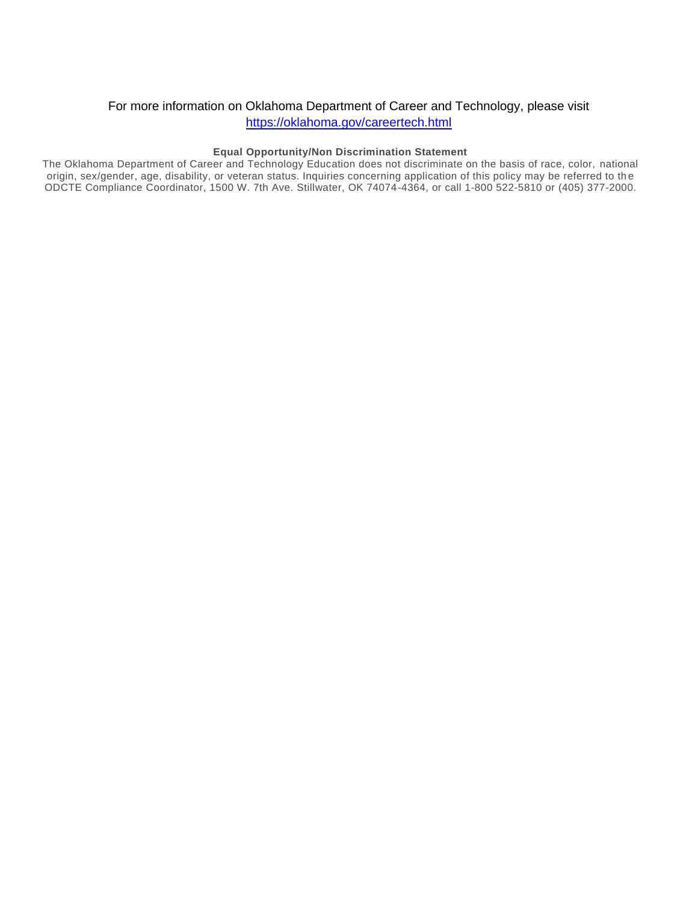#### For more information on Oklahoma Department of Career and Technology, please visit

<https://oklahoma.gov/careertech.html>

#### **Equal Opportunity/Non Discrimination Statement**

The Oklahoma Department of Career and Technology Education does not discriminate on the basis of race, color, national origin, sex/gender, age, disability, or veteran status. Inquiries concerning application of this policy may be referred to th e ODCTE Compliance Coordinator, 1500 W. 7th Ave. Stillwater, OK 74074-4364, or call 1-800 522-5810 or (405) 377-2000.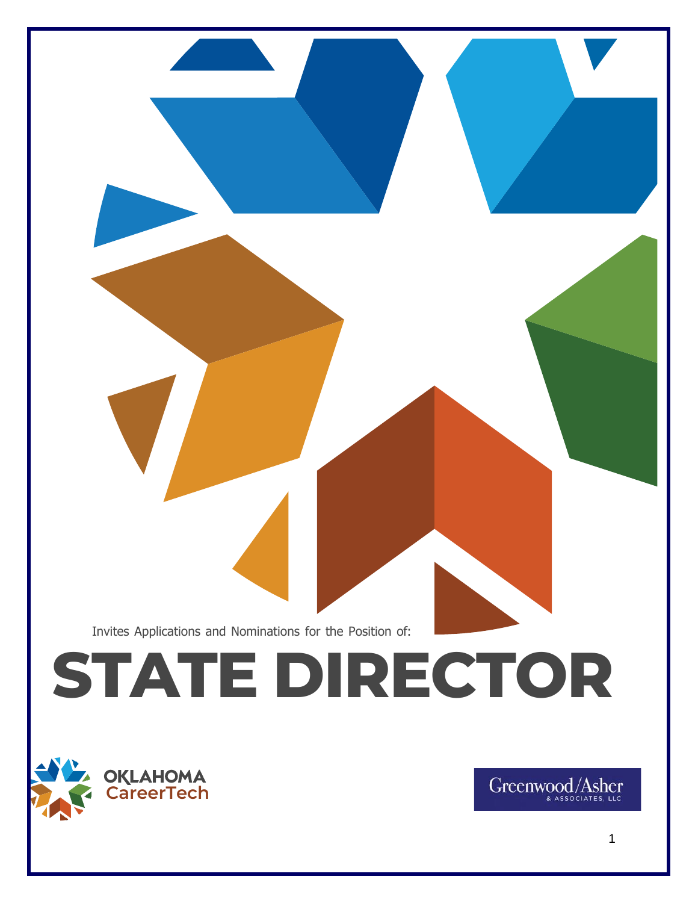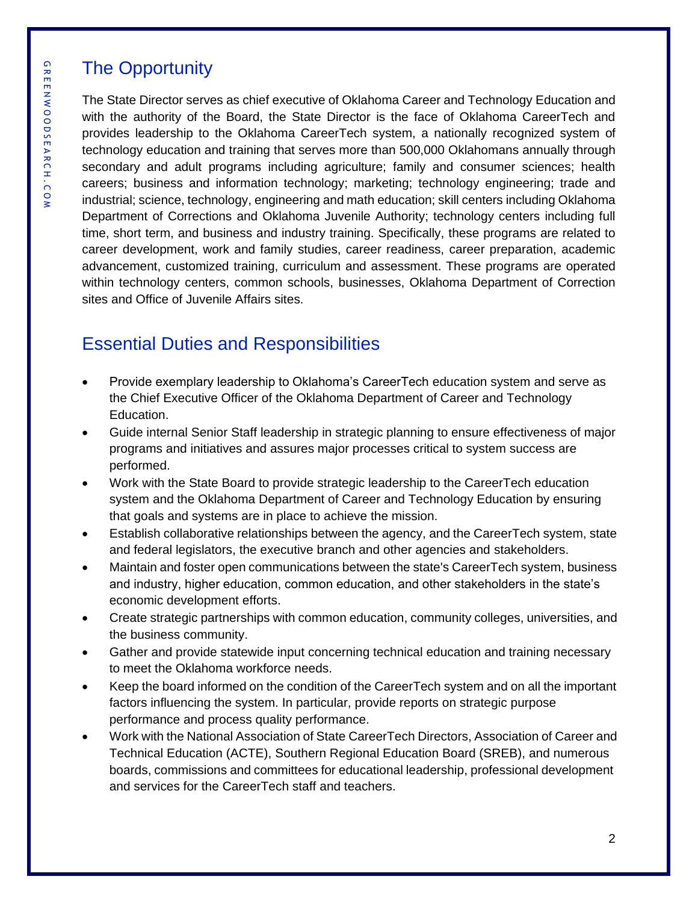# The Opportunity

The State Director serves as chief executive of Oklahoma Career and Technology Education and with the authority of the Board, the State Director is the face of Oklahoma CareerTech and provides leadership to the Oklahoma CareerTech system, a nationally recognized system of technology education and training that serves more than 500,000 Oklahomans annually through secondary and adult programs including agriculture; family and consumer sciences; health careers; business and information technology; marketing; technology engineering; trade and industrial; science, technology, engineering and math education; skill centers including Oklahoma Department of Corrections and Oklahoma Juvenile Authority; technology centers including full time, short term, and business and industry training. Specifically, these programs are related to career development, work and family studies, career readiness, career preparation, academic advancement, customized training, curriculum and assessment. These programs are operated within technology centers, common schools, businesses, Oklahoma Department of Correction sites and Office of Juvenile Affairs sites.

# Essential Duties and Responsibilities

- Provide exemplary leadership to Oklahoma's CareerTech education system and serve as the Chief Executive Officer of the Oklahoma Department of Career and Technology Education.
- Guide internal Senior Staff leadership in strategic planning to ensure effectiveness of major programs and initiatives and assures major processes critical to system success are performed.
- Work with the State Board to provide strategic leadership to the CareerTech education system and the Oklahoma Department of Career and Technology Education by ensuring that goals and systems are in place to achieve the mission.
- Establish collaborative relationships between the agency, and the CareerTech system, state and federal legislators, the executive branch and other agencies and stakeholders.
- Maintain and foster open communications between the state's CareerTech system, business and industry, higher education, common education, and other stakeholders in the state's economic development efforts.
- Create strategic partnerships with common education, community colleges, universities, and the business community.
- Gather and provide statewide input concerning technical education and training necessary to meet the Oklahoma workforce needs.
- Keep the board informed on the condition of the CareerTech system and on all the important factors influencing the system. In particular, provide reports on strategic purpose performance and process quality performance.
- Work with the National Association of State CareerTech Directors, Association of Career and Technical Education (ACTE), Southern Regional Education Board (SREB), and numerous boards, commissions and committees for educational leadership, professional development and services for the CareerTech staff and teachers.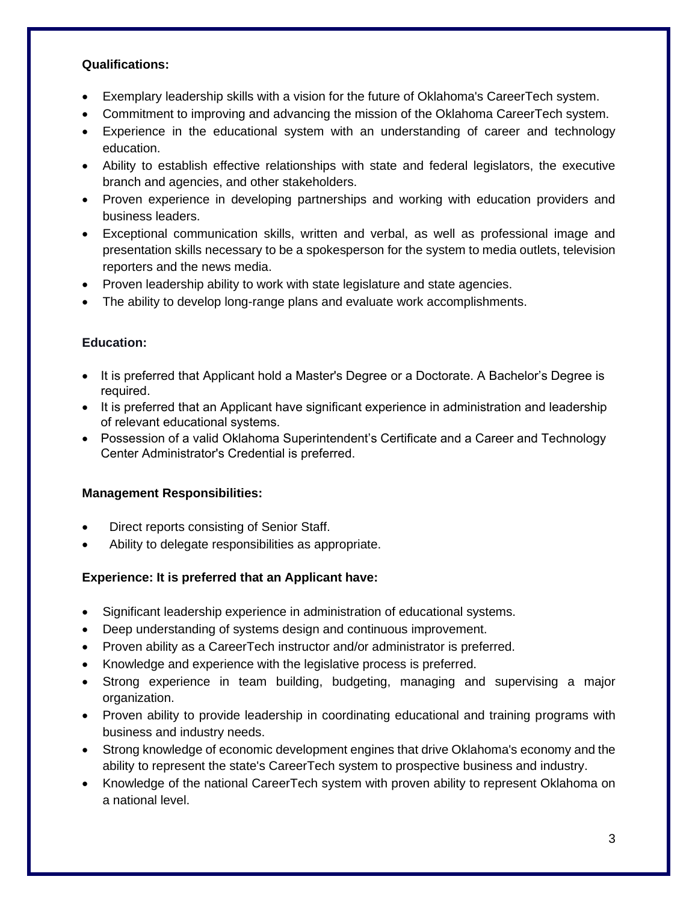#### **Qualifications:**

- Exemplary leadership skills with a vision for the future of Oklahoma's CareerTech system.
- Commitment to improving and advancing the mission of the Oklahoma CareerTech system.
- Experience in the educational system with an understanding of career and technology education.
- Ability to establish effective relationships with state and federal legislators, the executive branch and agencies, and other stakeholders.
- Proven experience in developing partnerships and working with education providers and business leaders.
- Exceptional communication skills, written and verbal, as well as professional image and presentation skills necessary to be a spokesperson for the system to media outlets, television reporters and the news media.
- Proven leadership ability to work with state legislature and state agencies.
- The ability to develop long-range plans and evaluate work accomplishments.

#### **Education:**

- It is preferred that Applicant hold a Master's Degree or a Doctorate. A Bachelor's Degree is required.
- It is preferred that an Applicant have significant experience in administration and leadership of relevant educational systems.
- Possession of a valid Oklahoma Superintendent's Certificate and a Career and Technology Center Administrator's Credential is preferred.

#### **Management Responsibilities:**

- Direct reports consisting of Senior Staff.
- Ability to delegate responsibilities as appropriate.

## **Experience: It is preferred that an Applicant have:**

- Significant leadership experience in administration of educational systems.
- Deep understanding of systems design and continuous improvement.
- Proven ability as a CareerTech instructor and/or administrator is preferred.
- Knowledge and experience with the legislative process is preferred.
- Strong experience in team building, budgeting, managing and supervising a major organization.
- Proven ability to provide leadership in coordinating educational and training programs with business and industry needs.
- Strong knowledge of economic development engines that drive Oklahoma's economy and the ability to represent the state's CareerTech system to prospective business and industry.
- Knowledge of the national CareerTech system with proven ability to represent Oklahoma on a national level.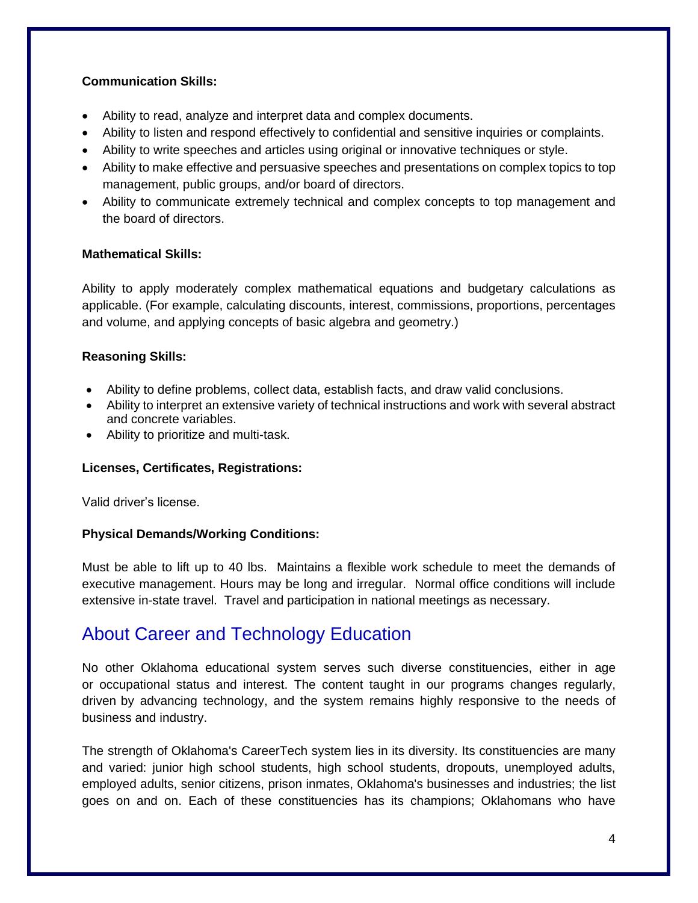### **Communication Skills:**

- Ability to read, analyze and interpret data and complex documents.
- Ability to listen and respond effectively to confidential and sensitive inquiries or complaints.
- Ability to write speeches and articles using original or innovative techniques or style.
- Ability to make effective and persuasive speeches and presentations on complex topics to top management, public groups, and/or board of directors.
- Ability to communicate extremely technical and complex concepts to top management and the board of directors.

### **Mathematical Skills:**

Ability to apply moderately complex mathematical equations and budgetary calculations as applicable. (For example, calculating discounts, interest, commissions, proportions, percentages and volume, and applying concepts of basic algebra and geometry.)

## **Reasoning Skills:**

- Ability to define problems, collect data, establish facts, and draw valid conclusions.
- Ability to interpret an extensive variety of technical instructions and work with several abstract and concrete variables.
- Ability to prioritize and multi-task.

## **Licenses, Certificates, Registrations:**

Valid driver's license.

## **Physical Demands/Working Conditions:**

Must be able to lift up to 40 lbs. Maintains a flexible work schedule to meet the demands of executive management. Hours may be long and irregular. Normal office conditions will include extensive in-state travel. Travel and participation in national meetings as necessary.

# About Career and Technology Education

No other Oklahoma educational system serves such diverse constituencies, either in age or occupational status and interest. The content taught in our programs changes regularly, driven by advancing technology, and the system remains highly responsive to the needs of business and industry.

The strength of Oklahoma's CareerTech system lies in its diversity. Its constituencies are many and varied: junior high school students, high school students, dropouts, unemployed adults, employed adults, senior citizens, prison inmates, Oklahoma's businesses and industries; the list goes on and on. Each of these constituencies has its champions; Oklahomans who have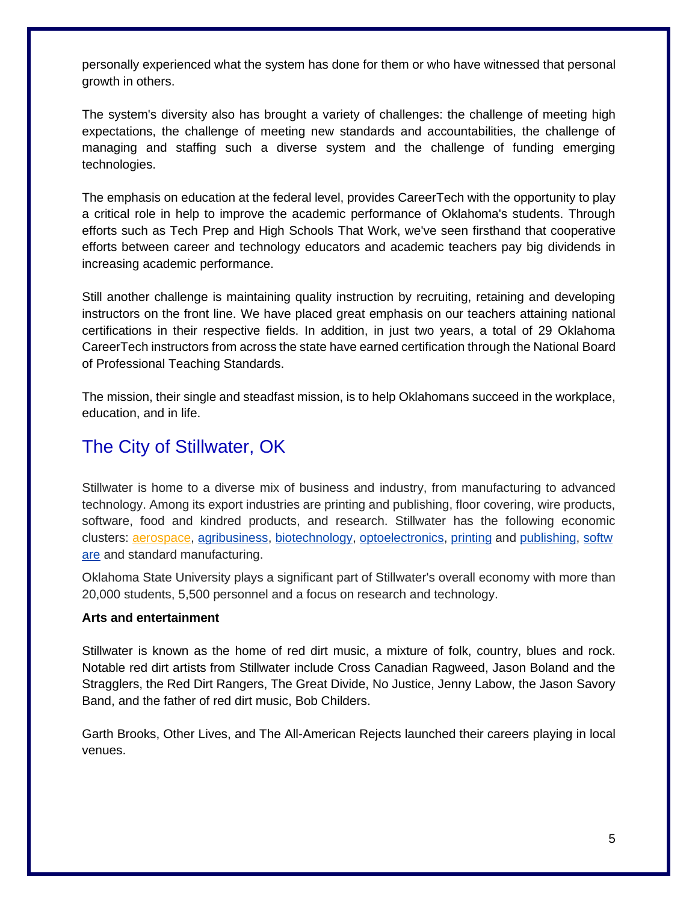personally experienced what the system has done for them or who have witnessed that personal growth in others.

The system's diversity also has brought a variety of challenges: the challenge of meeting high expectations, the challenge of meeting new standards and accountabilities, the challenge of managing and staffing such a diverse system and the challenge of funding emerging technologies.

The emphasis on education at the federal level, provides CareerTech with the opportunity to play a critical role in help to improve the academic performance of Oklahoma's students. Through efforts such as Tech Prep and High Schools That Work, we've seen firsthand that cooperative efforts between career and technology educators and academic teachers pay big dividends in increasing academic performance.

Still another challenge is maintaining quality instruction by recruiting, retaining and developing instructors on the front line. We have placed great emphasis on our teachers attaining national certifications in their respective fields. In addition, in just two years, a total of 29 Oklahoma CareerTech instructors from across the state have earned certification through the National Board of Professional Teaching Standards.

The mission, their single and steadfast mission, is to help Oklahomans succeed in the workplace, education, and in life.

# The City of Stillwater, OK

Stillwater is home to a diverse mix of business and industry, from manufacturing to advanced technology. Among its export industries are printing and publishing, floor covering, wire products, software, food and kindred products, and research. Stillwater has the following economic clusters: [aerospace,](https://en.wikipedia.org/wiki/Aerospace) [agribusiness,](https://en.wikipedia.org/wiki/Agribusiness) [biotechnology,](https://en.wikipedia.org/wiki/Biotechnology) [optoelectronics,](https://en.wikipedia.org/wiki/Optoelectronics) [printing](https://en.wikipedia.org/wiki/Printing) and [publishing,](https://en.wikipedia.org/wiki/Publishing) [softw](https://en.wikipedia.org/wiki/Software) [are](https://en.wikipedia.org/wiki/Software) and standard manufacturing.

Oklahoma State University plays a significant part of Stillwater's overall economy with more than 20,000 students, 5,500 personnel and a focus on research and technology.

#### **Arts and entertainment**

Stillwater is known as the home of red dirt music, a mixture of folk, country, blues and rock. Notable red dirt artists from Stillwater include Cross Canadian Ragweed, Jason Boland and the Stragglers, the Red Dirt Rangers, The Great Divide, No Justice, Jenny Labow, the Jason Savory Band, and the father of red dirt music, Bob Childers.

Garth Brooks, Other Lives, and The All-American Rejects launched their careers playing in local venues.